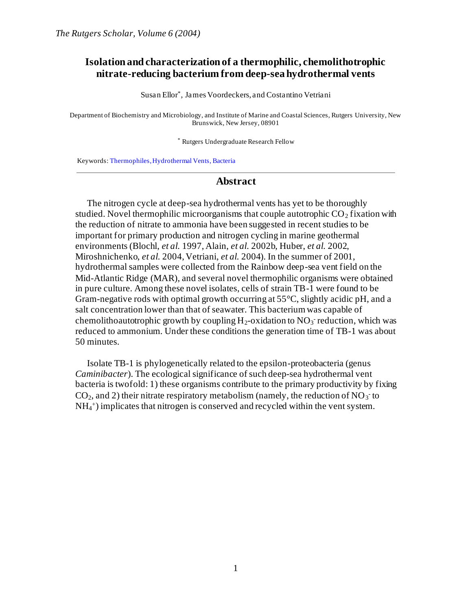# **Isolation and characterization of a thermophilic, chemolithotrophic nitrate-reducing bacterium from deep-sea hydrothermal vents**

Susan Ellor\* , James Voordeckers, and Costantino Vetriani

Department of Biochemistry and Microbiology, and Institute of Marine and Coastal Sciences, Rutgers University, New Brunswick, New Jersey, 08901

\* Rutgers Undergraduate Research Fellow

Keywords: Thermophiles, Hydrothermal Vents, Bacteria

#### **Abstract**

The nitrogen cycle at deep-sea hydrothermal vents has yet to be thoroughly studied. Novel thermophilic microorganisms that couple autotrophic  $CO<sub>2</sub>$  fixation with the reduction of nitrate to ammonia have been suggested in recent studies to be important for primary production and nitrogen cycling in marine geothermal environments (Blochl, *et al.* 1997, Alain, *et al.* 2002b, Huber, *et al.* 2002, Miroshnichenko, *et al.* 2004, Vetriani, *et al.* 2004). In the summer of 2001, hydrothermal samples were collected from the Rainbow deep-sea vent field on the Mid-Atlantic Ridge (MAR), and several novel thermophilic organisms were obtained in pure culture. Among these novel isolates, cells of strain TB-1 were found to be Gram-negative rods with optimal growth occurring at  $55^{\circ}$ C, slightly acidic pH, and a salt concentration lower than that of seawater. This bacterium was capable of chemolithoautotrophic growth by coupling  $H_2$ -oxidation to  $NO_3$  reduction, which was reduced to ammonium. Under these conditions the generation time of TB-1 was about 50 minutes.

Isolate TB-1 is phylogenetically related to the epsilon-proteobacteria (genus *Caminibacter*). The ecological significance of such deep-sea hydrothermal vent bacteria is twofold: 1) these organisms contribute to the primary productivity by fixing  $CO_2$ , and 2) their nitrate respiratory metabolism (namely, the reduction of NO<sub>3</sub> to NH<sub>4</sub><sup>+</sup>) implicates that nitrogen is conserved and recycled within the vent system.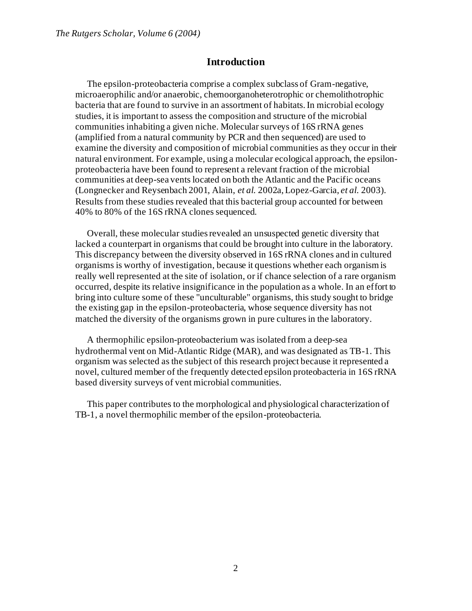## **Introduction**

The epsilon-proteobacteria comprise a complex subclass of Gram-negative, microaerophilic and/or anaerobic, chemoorganoheterotrophic or chemolithotrophic bacteria that are found to survive in an assortment of habitats. In microbial ecology studies, it is important to assess the composition and structure of the microbial communities inhabiting a given niche. Molecular surveys of 16S rRNA genes (amplified from a natural community by PCR and then sequenced) are used to examine the diversity and composition of microbial communities as they occur in their natural environment. For example, using a molecular ecological approach, the epsilonproteobacteria have been found to represent a relevant fraction of the microbial communities at deep-sea vents located on both the Atlantic and the Pacific oceans (Longnecker and Reysenbach 2001, Alain, *et al.* 2002a, Lopez-Garcia, *et al.* 2003). Results from these studies revealed that this bacterial group accounted for between 40% to 80% of the 16S rRNA clones sequenced.

Overall, these molecular studies revealed an unsuspected genetic diversity that lacked a counterpart in organisms that could be brought into culture in the laboratory. This discrepancy between the diversity observed in 16S rRNA clones and in cultured organisms is worthy of investigation, because it questions whether each organism is really well represented at the site of isolation, or if chance selection of a rare organism occurred, despite its relative insignificance in the population as a whole. In an effort to bring into culture some of these "unculturable" organisms, this study sought to bridge the existing gap in the epsilon-proteobacteria, whose sequence diversity has not matched the diversity of the organisms grown in pure cultures in the laboratory.

A thermophilic epsilon-proteobacterium was isolated from a deep-sea hydrothermal vent on Mid-Atlantic Ridge (MAR), and was designated as TB-1. This organism was selected as the subject of this research project because it represented a novel, cultured member of the frequently detected epsilon proteobacteria in 16S rRNA based diversity surveys of vent microbial communities.

This paper contributes to the morphological and physiological characterization of TB-1, a novel thermophilic member of the epsilon-proteobacteria.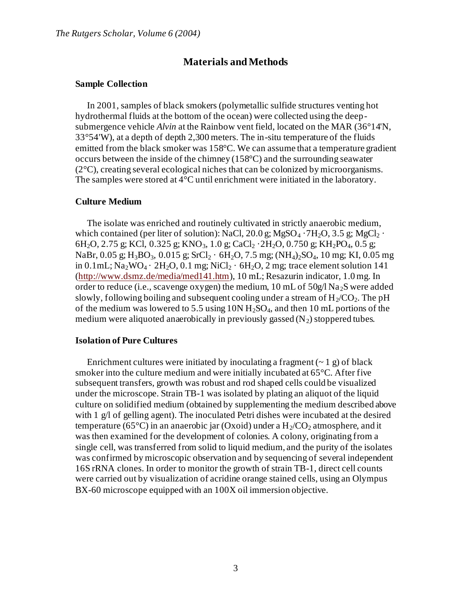# **Materials and Methods**

#### **Sample Collection**

In 2001, samples of black smokers (polymetallic sulfide structures venting hot hydrothermal fluids at the bottom of the ocean) were collected using the deepsubmergence vehicle *Alvin* at the Rainbow vent field, located on the MAR (36°14'N, 33°54'W), at a depth of depth 2,300 meters. The in-situ temperature of the fluids emitted from the black smoker was 158°C. We can assume that a temperature gradient occurs between the inside of the chimney (158°C) and the surrounding seawater (2°C), creating several ecological niches that can be colonized by microorganisms. The samples were stored at 4°C until enrichment were initiated in the laboratory.

#### **Culture Medium**

The isolate was enriched and routinely cultivated in strictly anaerobic medium, which contained (per liter of solution): NaCl, 20.0 g; MgSO<sub>4</sub>  $\cdot$  7H<sub>2</sub>O, 3.5 g; MgCl<sub>2</sub>  $\cdot$ 6H<sub>2</sub>O, 2.75 g; KCl, 0.325 g; KNO<sub>3</sub>, 1.0 g; CaCl<sub>2</sub> · 2H<sub>2</sub>O, 0.750 g; KH<sub>2</sub>PO<sub>4</sub>, 0.5 g; NaBr, 0.05 g; H<sub>3</sub>BO<sub>3</sub>, 0.015 g; SrCl<sub>2</sub> · 6H<sub>2</sub>O, 7.5 mg; (NH<sub>4</sub>)<sub>2</sub>SO<sub>4</sub>, 10 mg; KI, 0.05 mg in 0.1mL;  $\text{Na}_2\text{WO}_4 \cdot 2\text{H}_2\text{O}$ , 0.1 mg;  $\text{NiCl}_2 \cdot 6\text{H}_2\text{O}$ , 2 mg; trace element solution 141 [\(http://www.dsmz.de/media/med141.htm](http://www.dsmz.de/media/med141.htm)), 10 mL; Resazurin indicator, 1.0 mg. In order to reduce (i.e., scavenge oxygen) the medium, 10 mL of 50g/l Na<sub>2</sub>S were added slowly, following boiling and subsequent cooling under a stream of  $H_2/CO_2$ . The pH of the medium was lowered to 5.5 using  $10N H<sub>2</sub>SO<sub>4</sub>$ , and then 10 mL portions of the medium were aliquoted anaerobically in previously gassed  $(N_2)$  stoppered tubes.

#### **Isolation of Pure Cultures**

Enrichment cultures were initiated by inoculating a fragment  $(-1, \gamma)$  of black smoker into the culture medium and were initially incubated at  $65^{\circ}$ C. After five subsequent transfers, growth was robust and rod shaped cells could be visualized under the microscope. Strain TB-1 was isolated by plating an aliquot of the liquid culture on solidified medium (obtained by supplementing the medium described above with 1 g/l of gelling agent). The inoculated Petri dishes were incubated at the desired temperature (65 $^{\circ}$ C) in an anaerobic jar (Oxoid) under a H<sub>2</sub>/CO<sub>2</sub> atmosphere, and it was then examined for the development of colonies. A colony, originating from a single cell, was transferred from solid to liquid medium, and the purity of the isolates was confirmed by microscopic observation and by sequencing of several independent 16S rRNA clones. In order to monitor the growth of strain TB-1, direct cell counts were carried out by visualization of acridine orange stained cells, using an Olympus BX-60 microscope equipped with an 100X oil immersion objective.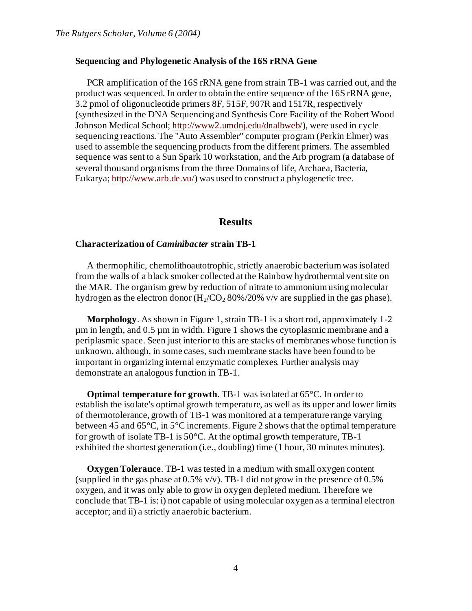#### **Sequencing and Phylogenetic Analysis of the 16S rRNA Gene**

PCR amplification of the 16S rRNA gene from strain TB-1 was carried out, and the product was sequenced. In order to obtain the entire sequence of the 16S rRNA gene, 3.2 pmol of oligonucleotide primers 8F, 515F, 907R and 1517R, respectively (synthesized in the DNA Sequencing and Synthesis Core Facility of the Robert Wood Johnson Medical School[; http://www2.umdnj.edu/dnalbweb/](http://www2.umdnj.edu/dnalbweb/)), were used in cycle sequencing reactions. The "Auto Assembler" computer program (Perkin Elmer) was used to assemble the sequencing products from the different primers. The assembled sequence was sent to a Sun Spark 10 workstation, and the Arb program (a database of several thousand organisms from the three Domains of life, Archaea, Bacteria, Eukarya[; http://www.arb.de.vu/](http://www.arb.de.vu/)) was used to construct a phylogenetic tree.

### **Results**

#### **Characterization of** *Caminibacter* **strain TB-1**

A thermophilic, chemolithoautotrophic, strictly anaerobic bacterium was isolated from the walls of a black smoker collected at the Rainbow hydrothermal vent site on the MAR. The organism grew by reduction of nitrate to ammonium using molecular hydrogen as the electron donor  $(H_2/CO_2 80\%/20\%$  v/v are supplied in the gas phase).

**Morphology**. As shown in Figure 1, strain TB-1 is a short rod, approximately 1-2 µm in length, and 0.5 µm in width. Figure 1 shows the cytoplasmic membrane and a periplasmic space. Seen just interior to this are stacks of membranes whose function is unknown, although, in some cases, such membrane stacks have been found to be important in organizing internal enzymatic complexes. Further analysis may demonstrate an analogous function in TB-1.

**Optimal temperature for growth**. TB-1 was isolated at 65°C. In order to establish the isolate's optimal growth temperature, as well as its upper and lower limits of thermotolerance, growth of TB-1 was monitored at a temperature range varying between 45 and 65°C, in 5°C increments. Figure 2 shows that the optimal temperature for growth of isolate TB-1 is 50°C. At the optimal growth temperature, TB-1 exhibited the shortest generation (i.e., doubling) time (1 hour, 30 minutes minutes).

**Oxygen Tolerance**. TB-1 was tested in a medium with small oxygen content (supplied in the gas phase at  $0.5\%$  v/v). TB-1 did not grow in the presence of  $0.5\%$ oxygen, and it was only able to grow in oxygen depleted medium. Therefore we conclude that TB-1 is: i) not capable of using molecular oxygen as a terminal electron acceptor; and ii) a strictly anaerobic bacterium.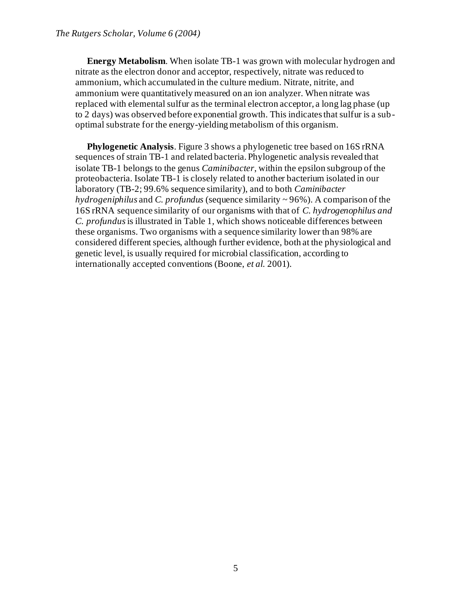**Energy Metabolism**. When isolate TB-1 was grown with molecular hydrogen and nitrate as the electron donor and acceptor, respectively, nitrate was reduced to ammonium, which accumulated in the culture medium. Nitrate, nitrite, and ammonium were quantitatively measured on an ion analyzer. When nitrate was replaced with elemental sulfur as the terminal electron acceptor, a long lag phase (up to 2 days) was observed before exponential growth. This indicates that sulfur is a suboptimal substrate for the energy-yielding metabolism of this organism.

**Phylogenetic Analysis**. Figure 3 shows a phylogenetic tree based on 16S rRNA sequences of strain TB-1 and related bacteria. Phylogenetic analysis revealed that isolate TB-1 belongs to the genus *Caminibacter*, within the epsilon subgroup of the proteobacteria. Isolate TB-1 is closely related to another bacterium isolated in our laboratory (TB-2; 99.6% sequence similarity), and to both *Caminibacter hydrogeniphilus* and *C. profundus* (sequence similarity ~ 96%). A comparison of the 16S rRNA sequence similarity of our organisms with that of *C. hydrogenophilus and C. profundus*is illustrated in Table 1, which shows noticeable differences between these organisms. Two organisms with a sequence similarity lower than 98% are considered different species, although further evidence, both at the physiological and genetic level, is usually required for microbial classification, according to internationally accepted conventions (Boone, *et al.* 2001).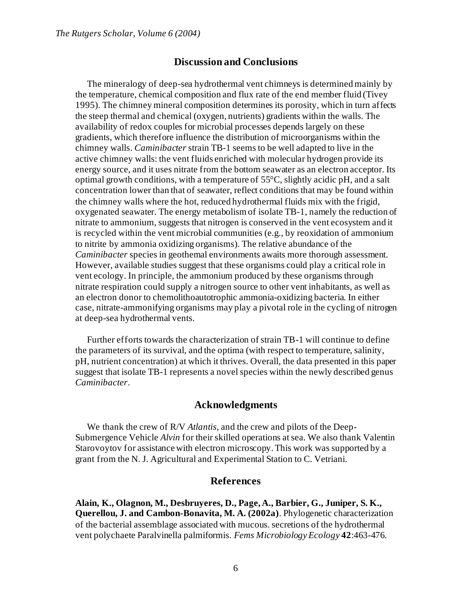## **Discussion and Conclusions**

The mineralogy of deep-sea hydrothermal vent chimneys is determined mainly by the temperature, chemical composition and flux rate of the end member fluid (Tivey 1995). The chimney mineral composition determines its porosity, which in turn affects the steep thermal and chemical (oxygen, nutrients) gradients within the walls. The availability of redox couples for microbial processes depends largely on these gradients, which therefore influence the distribution of microorganisms within the chimney walls. *Caminibacter* strain TB-1 seems to be well adapted to live in the active chimney walls: the vent fluids enriched with molecular hydrogen provide its energy source, and it uses nitrate from the bottom seawater as an electron acceptor. Its optimal growth conditions, with a temperature of 55°C, slightly acidic pH, and a salt concentration lower than that of seawater, reflect conditions that may be found within the chimney walls where the hot, reduced hydrothermal fluids mix with the frigid, oxygenated seawater. The energy metabolism of isolate TB-1, namely the reduction of nitrate to ammonium, suggests that nitrogen is conserved in the vent ecosystem and it is recycled within the vent microbial communities (e.g., by reoxidation of ammonium to nitrite by ammonia oxidizing organisms). The relative abundance of the *Caminibacter* species in geothemal environments awaits more thorough assessment. However, available studies suggest that these organisms could play a critical role in vent ecology. In principle, the ammonium produced by these organisms through nitrate respiration could supply a nitrogen source to other vent inhabitants, as well as an electron donor to chemolithoautotrophic ammonia-oxidizing bacteria. In either case, nitrate-ammonifying organisms may play a pivotal role in the cycling of nitrogen at deep-sea hydrothermal vents.

Further efforts towards the characterization of strain TB-1 will continue to define the parameters of its survival, and the optima (with respect to temperature, salinity, pH, nutrient concentration) at which it thrives. Overall, the data presented in this paper suggest that isolate TB-1 represents a novel species within the newly described genus *Caminibacter*.

### **Acknowledgments**

We thank the crew of R/V *Atlantis*, and the crew and pilots of the Deep-Submergence Vehicle *Alvin* for their skilled operations at sea. We also thank Valentin Starovoytov for assistance with electron microscopy. This work was supported by a grant from the N. J. Agricultural and Experimental Station to C. Vetriani.

## **References**

**Alain, K., Olagnon, M., Desbruyeres, D., Page, A., Barbier, G., Juniper, S. K., Querellou, J. and Cambon-Bonavita, M. A. (2002a)**. Phylogenetic characterization of the bacterial assemblage associated with mucous. secretions of the hydrothermal vent polychaete Paralvinella palmiformis. *Fems Microbiology Ecology* **42**:463-476.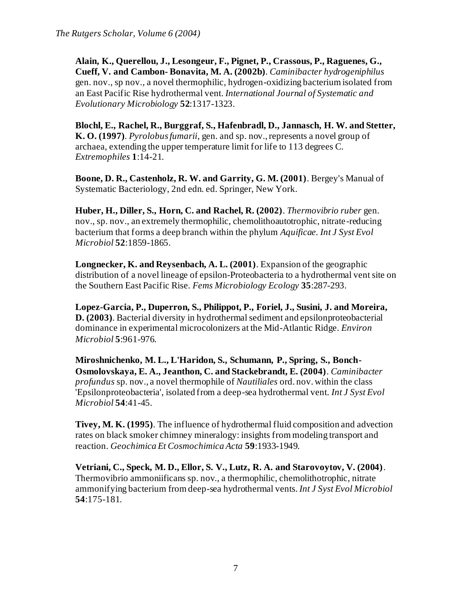**Alain, K., Querellou, J., Lesongeur, F., Pignet, P., Crassous, P., Raguenes, G., Cueff, V. and Cambon- Bonavita, M. A. (2002b)**. *Caminibacter hydrogeniphilus* gen. nov., sp nov., a novel thermophilic, hydrogen-oxidizing bacterium isolated from an East Pacific Rise hydrothermal vent. *International Journal of Systematic and Evolutionary Microbiology* **52**:1317-1323.

**Blochl, E., Rachel, R., Burggraf, S., Hafenbradl, D., Jannasch, H. W. and Stetter, K. O. (1997)**. *Pyrolobus fumarii*, gen. and sp. nov., represents a novel group of archaea, extending the upper temperature limit for life to 113 degrees C. *Extremophiles* **1**:14-21.

**Boone, D. R., Castenholz, R. W. and Garrity, G. M. (2001)**. Bergey's Manual of Systematic Bacteriology, 2nd edn. ed. Springer, New York.

**Huber, H., Diller, S., Horn, C. and Rachel, R. (2002)**. *Thermovibrio ruber* gen. nov., sp. nov., an extremely thermophilic, chemolithoautotrophic, nitrate-reducing bacterium that forms a deep branch within the phylum *Aquificae. Int J Syst Evol Microbiol* **52**:1859-1865.

**Longnecker, K. and Reysenbach, A. L. (2001)**. Expansion of the geographic distribution of a novel lineage of epsilon-Proteobacteria to a hydrothermal vent site on the Southern East Pacific Rise. *Fems Microbiology Ecology* **35**:287-293.

**Lopez-Garcia, P., Duperron, S., Philippot, P., Foriel, J., Susini, J. and Moreira, D. (2003)**. Bacterial diversity in hydrothermal sediment and epsilonproteobacterial dominance in experimental microcolonizers at the Mid-Atlantic Ridge. *Environ Microbiol* **5**:961-976.

**Miroshnichenko, M. L., L'Haridon, S., Schumann, P., Spring, S., Bonch-Osmolovskaya, E. A., Jeanthon, C. and Stackebrandt, E. (2004)**. *Caminibacter profundus* sp. nov., a novel thermophile of *Nautiliales* ord. nov. within the class 'Epsilonproteobacteria', isolated from a deep-sea hydrothermal vent. *Int J Syst Evol Microbiol* **54**:41-45.

**Tivey, M. K. (1995)**. The influence of hydrothermal fluid composition and advection rates on black smoker chimney mineralogy: insights from modeling transport and reaction. *Geochimica Et Cosmochimica Acta* **59**:1933-1949.

**Vetriani, C., Speck, M. D., Ellor, S. V., Lutz, R. A. and Starovoytov, V. (2004)**. Thermovibrio ammoniificans sp. nov., a thermophilic, chemolithotrophic, nitrate ammonifying bacterium from deep-sea hydrothermal vents. *Int J Syst Evol Microbiol* **54**:175-181.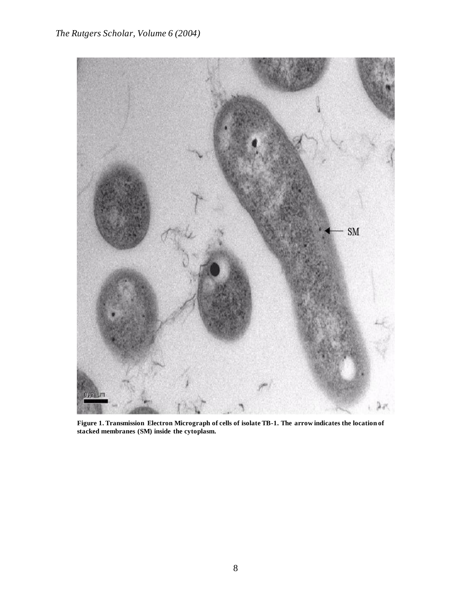

**Figure 1. Transmission Electron Micrograph of cells of isolate TB-1. The arrow indicates the location of stacked membranes (SM) inside the cytoplasm.**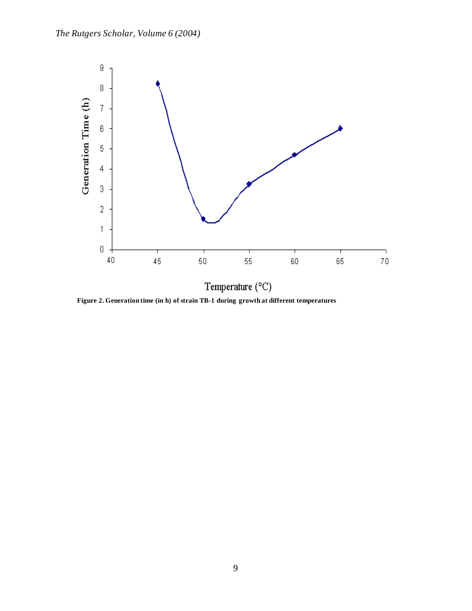

**Figure 2. Generation time (in h) of strain TB-1 during growth at different temperatures**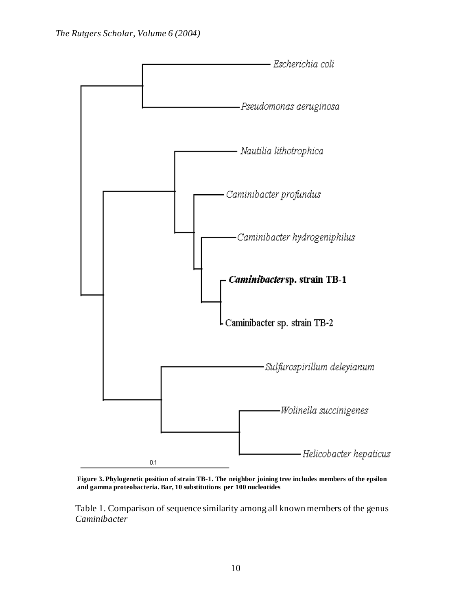

**Figure 3. Phylogenetic position of strain TB-1. The neighbor joining tree includes members of the epsilon and gamma proteobacteria. Bar, 10 substitutions per 100 nucleotides** 

Table 1. Comparison of sequence similarity among all known members of the genus *Caminibacter*